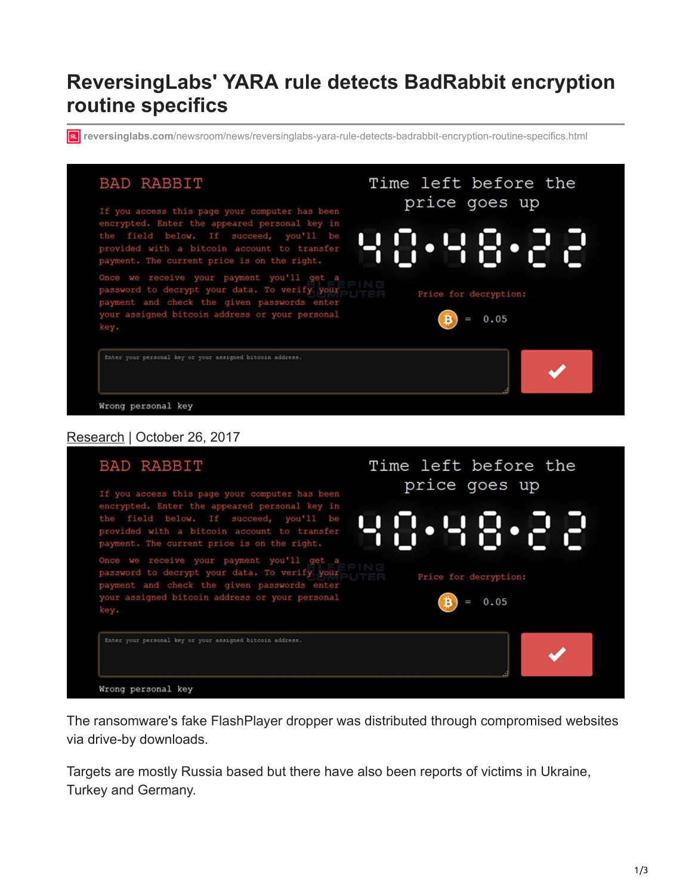# **ReversingLabs' YARA rule detects BadRabbit encryption routine specifics**

*r***u** reversinglabs.com[/newsroom/news/reversinglabs-yara-rule-detects-badrabbit-encryption-routine-specifics.html](https://www.reversinglabs.com/newsroom/news/reversinglabs-yara-rule-detects-badrabbit-encryption-routine-specifics.html)



Enter your personal key or your assigned bitcoin address. Wrong personal key

The ransomware's fake FlashPlayer dropper was distributed through compromised websites via drive-by downloads.

Targets are mostly Russia based but there have also been reports of victims in Ukraine, Turkey and Germany.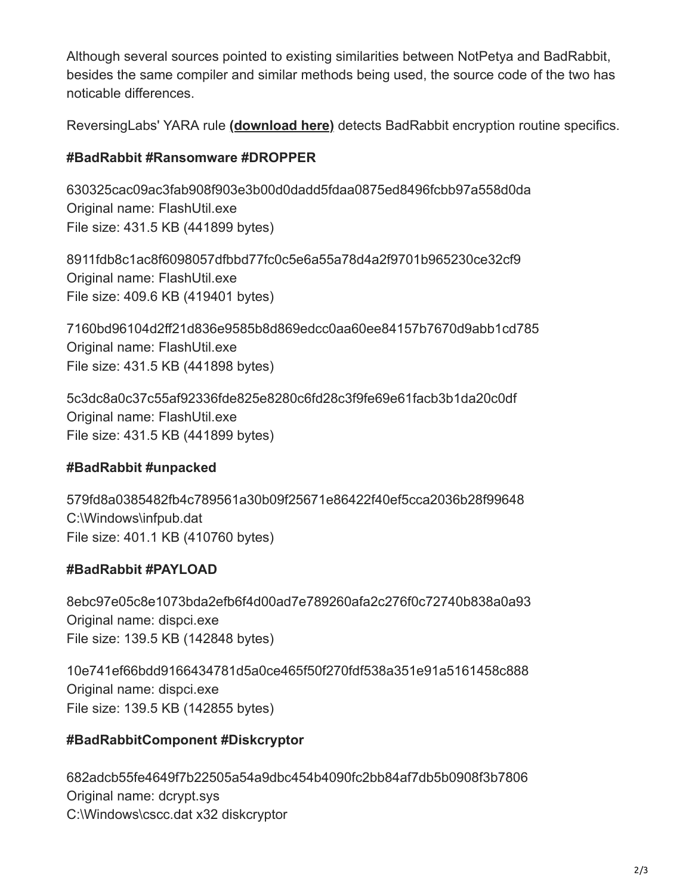Although several sources pointed to existing similarities between NotPetya and BadRabbit, besides the same compiler and similar methods being used, the source code of the two has noticable differences.

ReversingLabs' YARA rule **[\(download here\)](https://www.reversinglabs.com/sites/files/downloads/Win32.Ransomware.BadRabbit.yara)** detects BadRabbit encryption routine specifics.

### **#BadRabbit #Ransomware #DROPPER**

630325cac09ac3fab908f903e3b00d0dadd5fdaa0875ed8496fcbb97a558d0da Original name: FlashUtil.exe File size: 431.5 KB (441899 bytes)

8911fdb8c1ac8f6098057dfbbd77fc0c5e6a55a78d4a2f9701b965230ce32cf9 Original name: FlashUtil.exe File size: 409.6 KB (419401 bytes)

7160bd96104d2ff21d836e9585b8d869edcc0aa60ee84157b7670d9abb1cd785 Original name: FlashUtil.exe File size: 431.5 KB (441898 bytes)

5c3dc8a0c37c55af92336fde825e8280c6fd28c3f9fe69e61facb3b1da20c0df Original name: FlashUtil.exe File size: 431.5 KB (441899 bytes)

### **#BadRabbit #unpacked**

579fd8a0385482fb4c789561a30b09f25671e86422f40ef5cca2036b28f99648 C:\Windows\infpub.dat File size: 401.1 KB (410760 bytes)

### **#BadRabbit #PAYLOAD**

8ebc97e05c8e1073bda2efb6f4d00ad7e789260afa2c276f0c72740b838a0a93 Original name: dispci.exe File size: 139.5 KB (142848 bytes)

10e741ef66bdd9166434781d5a0ce465f50f270fdf538a351e91a5161458c888 Original name: dispci.exe File size: 139.5 KB (142855 bytes)

## **#BadRabbitComponent #Diskcryptor**

682adcb55fe4649f7b22505a54a9dbc454b4090fc2bb84af7db5b0908f3b7806 Original name: dcrypt.sys C:\Windows\cscc.dat x32 diskcryptor